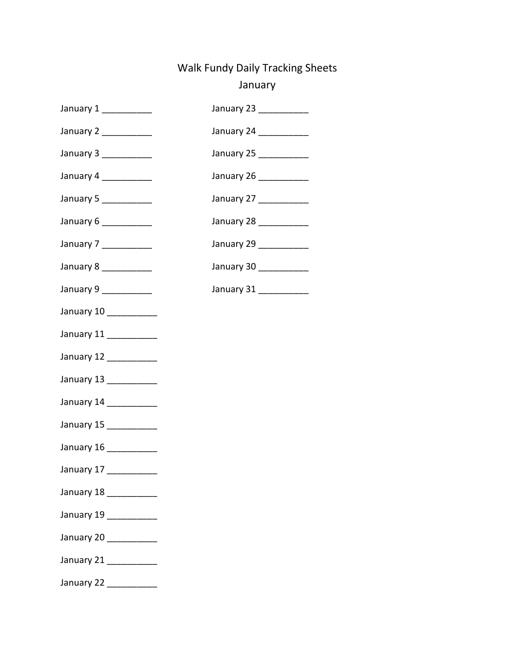## Walk Fundy Daily Tracking Sheets January

| January $1$ ____________ | January 23 ___________ |
|--------------------------|------------------------|
| January 2 ____________   | January 24 ___________ |
| January 3 ____________   | January 25 ___________ |
| January 4 ____________   | January 26 ___________ |
| January 5 ____________   | January 27 ___________ |
| January 6 ___________    | January 28 ___________ |
| January 7 ___________    | January 29 ___________ |
| January 8 ___________    | January 30 ___________ |
| January 9 ___________    | January 31 ___________ |
| January 10 __________    |                        |

- January 11 \_\_\_\_\_\_\_\_\_\_\_ January 12 \_\_\_\_\_\_\_\_\_\_
- January 13 \_\_\_\_\_\_\_\_\_\_
- 
- January 14 \_\_\_\_\_\_\_\_\_\_\_
- January 15 \_\_\_\_\_\_\_\_\_\_
- January 16 \_\_\_\_\_\_\_\_\_\_
- January 17 \_\_\_\_\_\_\_\_\_\_\_
- January 18 \_\_\_\_\_\_\_\_\_\_
- January 19 \_\_\_\_\_\_\_\_\_\_
- January 20 \_\_\_\_\_\_\_\_\_\_
- January 21 \_\_\_\_\_\_\_\_\_\_\_
- January 22 \_\_\_\_\_\_\_\_\_\_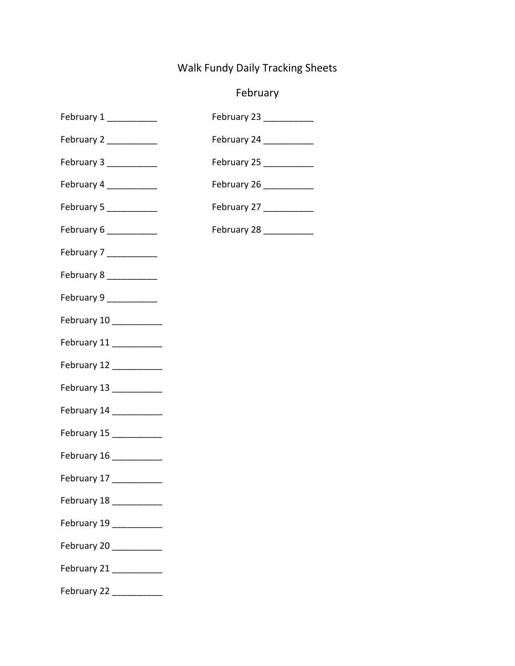## Walk Fundy Daily Tracking Sheets

## February

| February 1              | February 23 __________  |
|-------------------------|-------------------------|
| February 2              | February 24 _________   |
| February 3 ___________  | February 25 ___________ |
| February 4              | February 26             |
| February 5 ___________  | February 27             |
| February 6 ___________  | February 28 __________  |
| February 7              |                         |
| February 8 ___________  |                         |
| February 9 __________   |                         |
| February 10 _________   |                         |
| February 11 __________  |                         |
| February 12 __________  |                         |
| February 13 _________   |                         |
| February 14 __________  |                         |
| February 15 __________  |                         |
| February 16 __________  |                         |
| February 17 __________  |                         |
| February 18 ___________ |                         |
| February 19 __________  |                         |
| February 20 __________  |                         |
| February 21             |                         |
| February 22 __________  |                         |